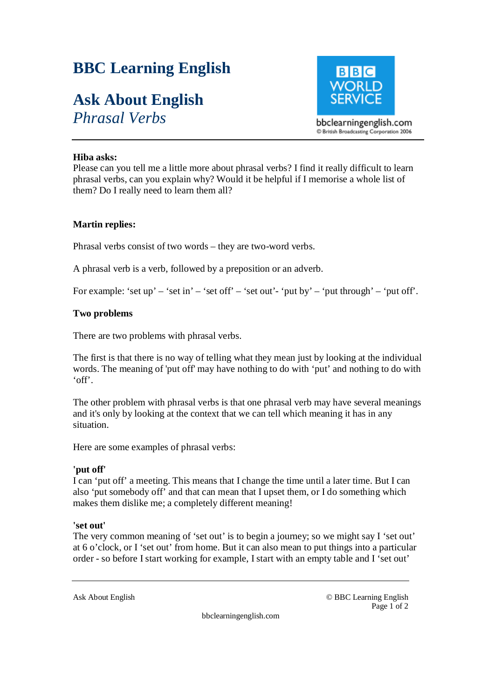# **BBC Learning English**

# **Ask About English**

*Phrasal Verbs* 



# **Hiba asks:**

Please can you tell me a little more about phrasal verbs? I find it really difficult to learn phrasal verbs, can you explain why? Would it be helpful if I memorise a whole list of them? Do I really need to learn them all?

### **Martin replies:**

Phrasal verbs consist of two words – they are two-word verbs.

A phrasal verb is a verb, followed by a preposition or an adverb.

For example: 'set up' – 'set in' – 'set off' – 'set out'- 'put by' – 'put through' – 'put off'.

# **Two problems**

There are two problems with phrasal verbs.

The first is that there is no way of telling what they mean just by looking at the individual words. The meaning of 'put off' may have nothing to do with 'put' and nothing to do with 'off'.

The other problem with phrasal verbs is that one phrasal verb may have several meanings and it's only by looking at the context that we can tell which meaning it has in any situation.

Here are some examples of phrasal verbs:

# **'put off'**

I can 'put off' a meeting. This means that I change the time until a later time. But I can also 'put somebody off' and that can mean that I upset them, or I do something which makes them dislike me; a completely different meaning!

#### **'set out'**

The very common meaning of 'set out' is to begin a journey; so we might say I 'set out' at 6 o'clock, or I 'set out' from home. But it can also mean to put things into a particular order - so before I start working for example, I start with an empty table and I 'set out'

Ask About English © BBC Learning English Page 1 of 2

bbclearningenglish.com